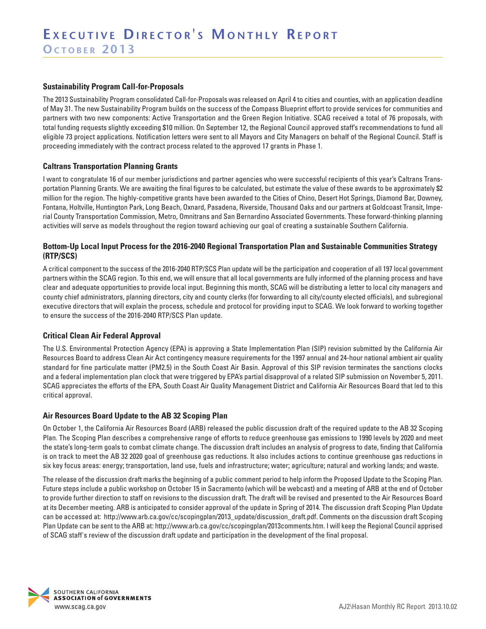#### **Sustainability Program Call-for-Proposals**

The 2013 Sustainability Program consolidated Call-for-Proposals was released on April 4 to cities and counties, with an application deadline of May 31. The new Sustainability Program builds on the success of the Compass Blueprint effort to provide services for communities and partners with two new components: Active Transportation and the Green Region Initiative. SCAG received a total of 76 proposals, with total funding requests slightly exceeding \$10 million. On September 12, the Regional Council approved staff's recommendations to fund all eligible 73 project applications. Notification letters were sent to all Mayors and City Managers on behalf of the Regional Council. Staff is proceeding immediately with the contract process related to the approved 17 grants in Phase 1.

## **Caltrans Transportation Planning Grants**

I want to congratulate 16 of our member jurisdictions and partner agencies who were successful recipients of this year's Caltrans Transportation Planning Grants. We are awaiting the final figures to be calculated, but estimate the value of these awards to be approximately \$2 million for the region. The highly-competitive grants have been awarded to the Cities of Chino, Desert Hot Springs, Diamond Bar, Downey, Fontana, Holtville, Huntington Park, Long Beach, Oxnard, Pasadena, Riverside, Thousand Oaks and our partners at Goldcoast Transit, Imperial County Transportation Commission, Metro, Omnitrans and San Bernardino Associated Governments. These forward-thinking planning activities will serve as models throughout the region toward achieving our goal of creating a sustainable Southern California.

#### **Bottom-Up Local Input Process for the 2016-2040 Regional Transportation Plan and Sustainable Communities Strategy (RTP/SCS)**

A critical component to the success of the 2016-2040 RTP/SCS Plan update will be the participation and cooperation of all 197 local government partners within the SCAG region. To this end, we will ensure that all local governments are fully informed of the planning process and have clear and adequate opportunities to provide local input. Beginning this month, SCAG will be distributing a letter to local city managers and county chief administrators, planning directors, city and county clerks (for forwarding to all city/county elected officials), and subregional executive directors that will explain the process, schedule and protocol for providing input to SCAG. We look forward to working together to ensure the success of the 2016-2040 RTP/SCS Plan update.

## **Critical Clean Air Federal Approval**

The U.S. Environmental Protection Agency (EPA) is approving a State Implementation Plan (SIP) revision submitted by the California Air Resources Board to address Clean Air Act contingency measure requirements for the 1997 annual and 24-hour national ambient air quality standard for fine particulate matter (PM2.5) in the South Coast Air Basin. Approval of this SIP revision terminates the sanctions clocks and a federal implementation plan clock that were triggered by EPA's partial disapproval of a related SIP submission on November 5, 2011. SCAG appreciates the efforts of the EPA, South Coast Air Quality Management District and California Air Resources Board that led to this critical approval.

#### **Air Resources Board Update to the AB 32 Scoping Plan**

On October 1, the California Air Resources Board (ARB) released the public discussion draft of the required update to the AB 32 Scoping Plan. The Scoping Plan describes a comprehensive range of efforts to reduce greenhouse gas emissions to 1990 levels by 2020 and meet the state's long-term goals to combat climate change. The discussion draft includes an analysis of progress to date, finding that California is on track to meet the AB 32 2020 goal of greenhouse gas reductions. It also includes actions to continue greenhouse gas reductions in six key focus areas: energy; transportation, land use, fuels and infrastructure; water; agriculture; natural and working lands; and waste.

The release of the discussion draft marks the beginning of a public comment period to help inform the Proposed Update to the Scoping Plan. Future steps include a public workshop on October 15 in Sacramento (which will be webcast) and a meeting of ARB at the end of October to provide further direction to staff on revisions to the discussion draft. The draft will be revised and presented to the Air Resources Board at its December meeting. ARB is anticipated to consider approval of the update in Spring of 2014. The discussion draft Scoping Plan Update can be accessed at: http://www.arb.ca.gov/cc/scopingplan/2013\_update/discussion\_draft.pdf. Comments on the discussion draft Scoping Plan Update can be sent to the ARB at: http://www.arb.ca.gov/cc/scopingplan/2013comments.htm. I will keep the Regional Council apprised of SCAG staff's review of the discussion draft update and participation in the development of the final proposal.